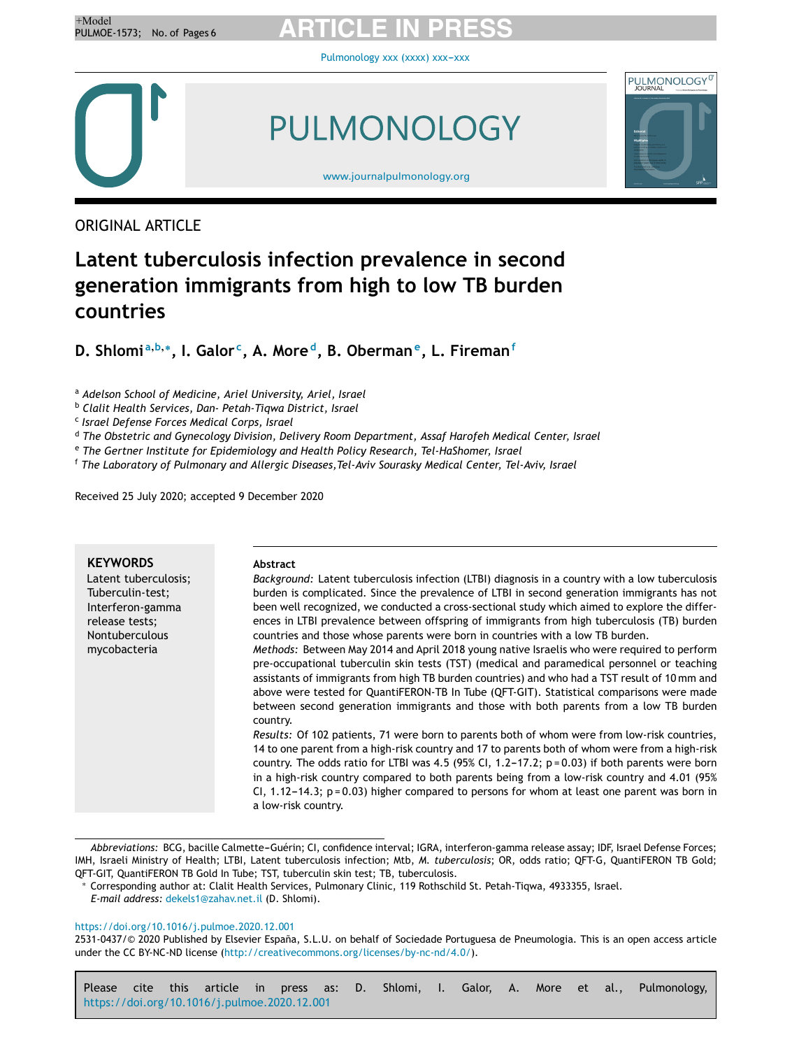[Pulmonology](https://doi.org/10.1016/j.pulmoe.2020.12.001) xxx (xxxx) xxx-xxx



PULMONOLOGY



[www.journalpulmonology.org](http://www.journalpulmonology.org)

ORIGINAL ARTICLE

# **Latent tuberculosis infection prevalence in second generation immigrants from high to low TB burden countries**

**D. Shlomi <sup>a</sup>**,**b**,<sup>∗</sup> **, I. Galor <sup>c</sup> , A. More <sup>d</sup> , B. Oberman<sup>e</sup> , L. Fireman<sup>f</sup>**

<sup>a</sup> *Adelson School of Medicine, Ariel University, Ariel, Israel*

<sup>b</sup> *Clalit Health Services, Dan- Petah-Tiqwa District, Israel*

c *Israel Defense Forces Medical Corps, Israel*

<sup>d</sup> *The Obstetric and Gynecology Division, Delivery Room Department, Assaf Harofeh Medical Center, Israel*

<sup>e</sup> *The Gertner Institute for Epidemiology and Health Policy Research, Tel-HaShomer, Israel*

<sup>f</sup> *The Laboratory of Pulmonary and Allergic Diseases,Tel-Aviv Sourasky Medical Center, Tel-Aviv, Israel*

Received 25 July 2020; accepted 9 December 2020

| <b>KEYWORDS</b>                       | <b>Abstract</b>                                                                                    |
|---------------------------------------|----------------------------------------------------------------------------------------------------|
| Latent tuberculosis;                  | Background: Latent tuberculosis infection (LTBI) diagnosis in a country with a low tuberculosis    |
| Tuberculin-test;                      | burden is complicated. Since the prevalence of LTBI in second generation immigrants has not        |
| Interferon-gamma                      | been well recognized, we conducted a cross-sectional study which aimed to explore the differ-      |
| release tests;                        | ences in LTBI prevalence between offspring of immigrants from high tuberculosis (TB) burden        |
| <b>Nontuberculous</b><br>mycobacteria | countries and those whose parents were born in countries with a low TB burden.                     |
|                                       | Methods: Between May 2014 and April 2018 young native Israelis who were required to perform        |
|                                       | pre-occupational tuberculin skin tests (TST) (medical and paramedical personnel or teaching        |
|                                       | assistants of immigrants from high TB burden countries) and who had a TST result of 10 mm and      |
|                                       | above were tested for QuantiFERON-TB In Tube (QFT-GIT). Statistical comparisons were made          |
|                                       | between second generation immigrants and those with both parents from a low TB burden              |
|                                       | country.                                                                                           |
|                                       | Results: Of 102 patients, 71 were born to parents both of whom were from low-risk countries,       |
|                                       | 14 to one parent from a high-risk country and 17 to parents both of whom were from a high-risk     |
|                                       | country. The odds ratio for LTBI was 4.5 (95% CI, 1.2-17.2; $p = 0.03$ ) if both parents were born |
|                                       | in a high-risk country compared to both parents being from a low-risk country and 4.01 (95%        |
|                                       | CI, 1.12–14.3; $p = 0.03$ ) higher compared to persons for whom at least one parent was born in    |
|                                       | a low-risk country.                                                                                |

Abbreviations: BCG, bacille Calmette-Guérin; CI, confidence interval; IGRA, interferon-gamma release assay; IDF, Israel Defense Forces; IMH, Israeli Ministry of Health; LTBI, Latent tuberculosis infection; Mtb, *M. tuberculosis*; OR, odds ratio; QFT-G, QuantiFERON TB Gold; QFT-GIT, QuantiFERON TB Gold In Tube; TST, tuberculin skin test; TB, tuberculosis.

#### <https://doi.org/10.1016/j.pulmoe.2020.12.001>

2531-0437/© 2020 Published by Elsevier España, S.L.U. on behalf of Sociedade Portuguesa de Pneumologia. This is an open access article under the CC BY-NC-ND license [\(http://creativecommons.org/licenses/by-nc-nd/4.0/\)](http://creativecommons.org/licenses/by-nc-nd/4.0/).

Please cite this article in press as: D. Shlomi, I. Galor, A. More et al., Pulmonology, <https://doi.org/10.1016/j.pulmoe.2020.12.001>

<sup>∗</sup> Corresponding author at: Clalit Health Services, Pulmonary Clinic, 119 Rothschild St. Petah-Tiqwa, 4933355, Israel.

*E-mail address:* [dekels1@zahav.net.il](mailto:dekels1@zahav.net.il) (D. Shlomi).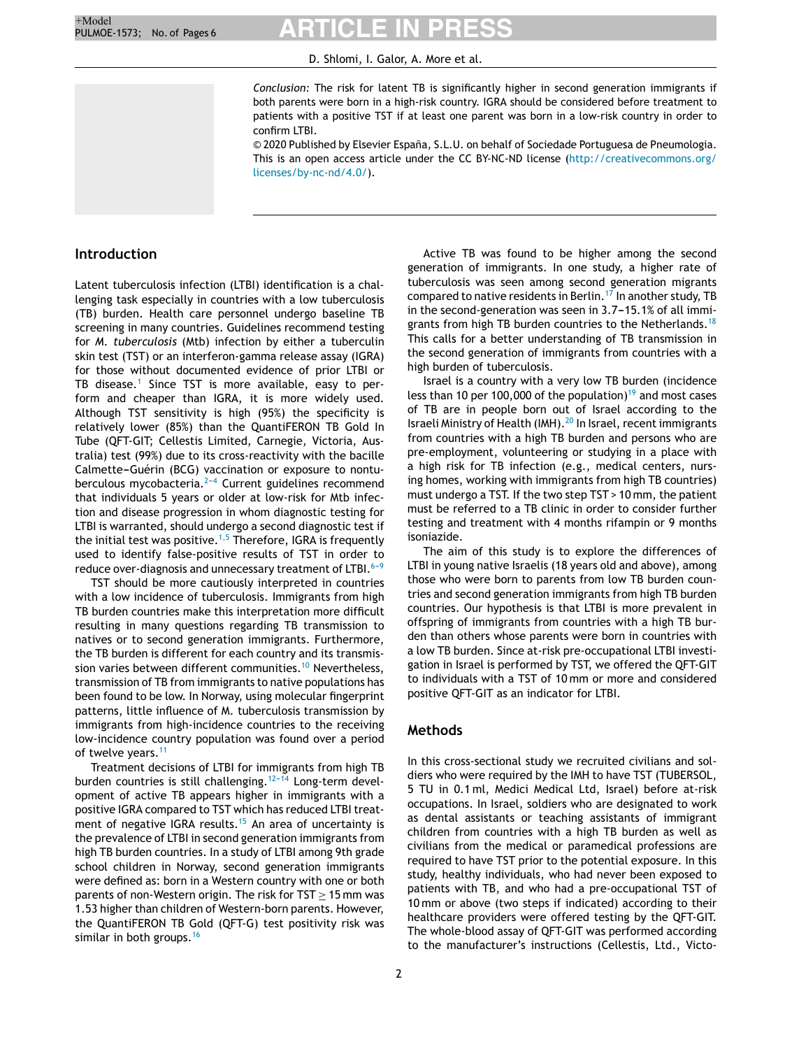D. Shlomi, I. Galor, A. More et al.

*Conclusion:* The risk for latent TB is significantly higher in second generation immigrants if both parents were born in a high-risk country. IGRA should be considered before treatment to patients with a positive TST if at least one parent was born in a low-risk country in order to confirm LTBI.

© 2020 Published by Elsevier España, S.L.U. on behalf of Sociedade Portuguesa de Pneumologia. This is an open access article under the CC BY-NC-ND license ([http://creativecommons.org/](http://creativecommons.org/licenses/by-nc-nd/4.0/) [licenses/by-nc-nd/4.0/\)](http://creativecommons.org/licenses/by-nc-nd/4.0/).

# **Introduction**

Latent tuberculosis infection (LTBI) identification is a challenging task especially in countries with a low tuberculosis (TB) burden. Health care personnel undergo baseline TB screening in many countries. Guidelines recommend testing for *M. tuberculosis* (Mtb) infection by either a tuberculin skin test (TST) or an interferon-gamma release assay (IGRA) for those without documented evidence of prior LTBI or TB disease.<sup>[1](#page-4-0)</sup> Since TST is more available, easy to perform and cheaper than IGRA, it is more widely used. Although TST sensitivity is high (95%) the specificity is relatively lower (85%) than the QuantiFERON TB Gold In Tube (QFT-GIT; Cellestis Limited, Carnegie, Victoria, Australia) test (99%) due to its cross-reactivity with the bacille Calmette-Guérin (BCG) vaccination or exposure to nontuberculous mycobacteria.<sup>2-4</sup> Current guidelines recommend that individuals 5 years or older at low-risk for Mtb infection and disease progression in whom diagnostic testing for LTBI is warranted, should undergo a second diagnostic test if the initial test was positive.<sup>[1,5](#page-4-0)</sup> Therefore, IGRA is frequently used to identify false-positive results of TST in order to reduce over-diagnosis and unnecessary treatment of LTBI. $6-9$ 

TST should be more cautiously interpreted in countries with a low incidence of tuberculosis. Immigrants from high TB burden countries make this interpretation more difficult resulting in many questions regarding TB transmission to natives or to second generation immigrants. Furthermore, the TB burden is different for each country and its transmis-sion varies between different communities.<sup>[10](#page-5-0)</sup> Nevertheless, transmission of TB from immigrants to native populations has been found to be low. In Norway, using molecular fingerprint patterns, little influence of M. tuberculosis transmission by immigrants from high-incidence countries to the receiving low-incidence country population was found over a period of twelve years.<sup>[11](#page-5-0)</sup>

Treatment decisions of LTBI for immigrants from high TB burden countries is still challenging.<sup>12-14</sup> Long-term development of active TB appears higher in immigrants with a positive IGRA compared to TST which has reduced LTBI treat-ment of negative IGRA results.<sup>[15](#page-5-0)</sup> An area of uncertainty is the prevalence of LTBI in second generation immigrants from high TB burden countries. In a study of LTBI among 9th grade school children in Norway, second generation immigrants were defined as: born in a Western country with one or both parents of non-Western origin. The risk for TST  $\geq$  15 mm was 1.53 higher than children of Western-born parents. However, the QuantiFERON TB Gold (QFT-G) test positivity risk was similar in both groups.<sup>[16](#page-5-0)</sup>

Active TB was found to be higher among the second generation of immigrants. In one study, a higher rate of tuberculosis was seen among second generation migrants compared to native residents in Berlin.<sup>[17](#page-5-0)</sup> In another study, TB in the second-generation was seen in  $3.7-15.1%$  of all immi-grants from high TB burden countries to the Netherlands.<sup>[18](#page-5-0)</sup> This calls for a better understanding of TB transmission in the second generation of immigrants from countries with a high burden of tuberculosis.

Israel is a country with a very low TB burden (incidence less than 10 per 100,000 of the population) $19$  and most cases of TB are in people born out of Israel according to the Israeli Ministry of Health (IMH).<sup>[20](#page-5-0)</sup> In Israel, recent immigrants from countries with a high TB burden and persons who are pre-employment, volunteering or studying in a place with a high risk for TB infection (e.g., medical centers, nursing homes, working with immigrants from high TB countries) must undergo a TST. If the two step TST > 10 mm, the patient must be referred to a TB clinic in order to consider further testing and treatment with 4 months rifampin or 9 months isoniazide.

The aim of this study is to explore the differences of LTBI in young native Israelis (18 years old and above), among those who were born to parents from low TB burden countries and second generation immigrants from high TB burden countries. Our hypothesis is that LTBI is more prevalent in offspring of immigrants from countries with a high TB burden than others whose parents were born in countries with a low TB burden. Since at-risk pre-occupational LTBI investigation in Israel is performed by TST, we offered the QFT-GIT to individuals with a TST of 10 mm or more and considered positive QFT-GIT as an indicator for LTBI.

# **Methods**

In this cross-sectional study we recruited civilians and soldiers who were required by the IMH to have TST (TUBERSOL, 5 TU in 0.1 ml, Medici Medical Ltd, Israel) before at-risk occupations. In Israel, soldiers who are designated to work as dental assistants or teaching assistants of immigrant children from countries with a high TB burden as well as civilians from the medical or paramedical professions are required to have TST prior to the potential exposure. In this study, healthy individuals, who had never been exposed to patients with TB, and who had a pre-occupational TST of 10 mm or above (two steps if indicated) according to their healthcare providers were offered testing by the QFT-GIT. The whole-blood assay of QFT-GIT was performed according to the manufacturer's instructions (Cellestis, Ltd., Victo-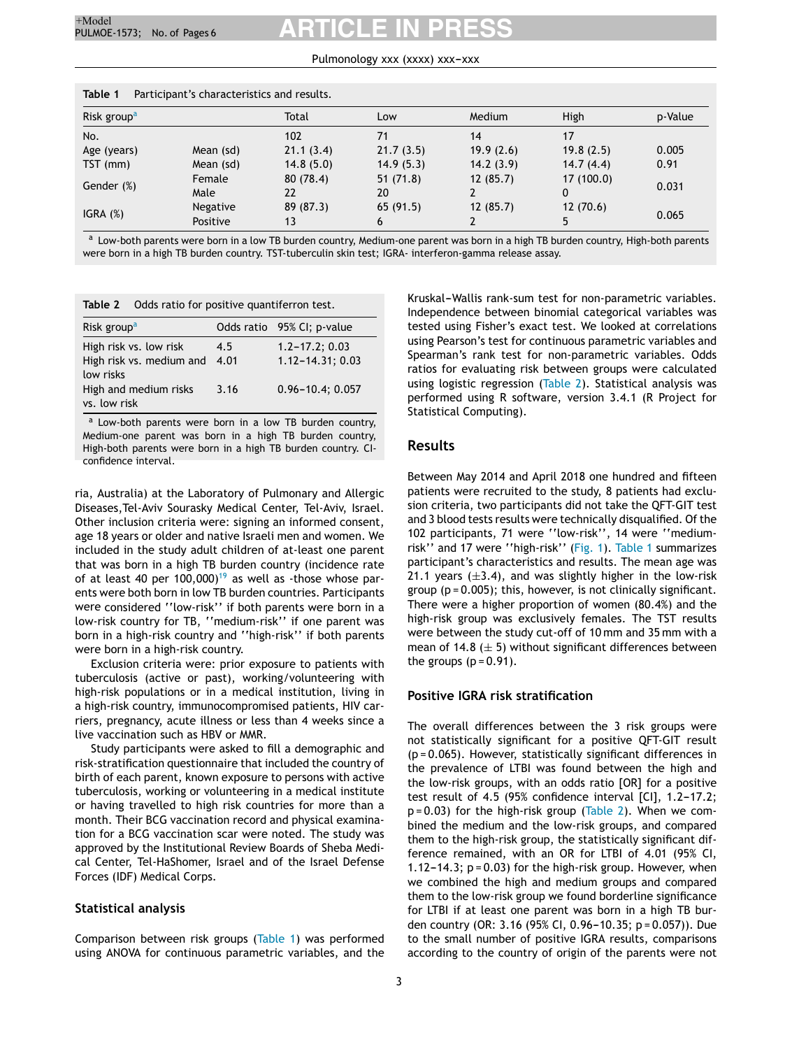#### Pulmonology xxx (xxxx) xxx-xxx

| Table 1<br>Participant's characteristics and results. |                             |                 |                |           |                 |         |  |
|-------------------------------------------------------|-----------------------------|-----------------|----------------|-----------|-----------------|---------|--|
| Risk group <sup>a</sup>                               |                             | Total           | Low            | Medium    | High            | p-Value |  |
| No.                                                   |                             | 102             | 71             | 14        | 17              |         |  |
| Age (years)                                           | Mean (sd)                   | 21.1(3.4)       | 21.7(3.5)      | 19.9(2.6) | 19.8(2.5)       | 0.005   |  |
| $TST$ (mm)                                            | Mean (sd)                   | 14.8(5.0)       | 14.9(5.3)      | 14.2(3.9) | 14.7(4.4)       | 0.91    |  |
| Gender (%)                                            | Female<br>Male              | 80(78.4)<br>22  | 51(71.8)<br>20 | 12(85.7)  | 17 (100.0)<br>0 | 0.031   |  |
| $IGRA$ $(\%)$                                         | <b>Negative</b><br>Positive | 89 (87.3)<br>13 | 65(91.5)<br>6  | 12(85.7)  | 12(70.6)        | 0.065   |  |

<sup>a</sup> Low-both parents were born in a low TB burden country, Medium-one parent was born in a high TB burden country, High-both parents were born in a high TB burden country. TST-tuberculin skin test; IGRA- interferon-gamma release assay.

| Odds ratio for positive quantiferron test.<br>Table 2           |             |                                             |  |  |  |  |
|-----------------------------------------------------------------|-------------|---------------------------------------------|--|--|--|--|
| Risk group <sup>a</sup>                                         |             | Odds ratio 95% CI; p-value                  |  |  |  |  |
| High risk vs. low risk<br>High risk vs. medium and<br>low risks | 4.5<br>4.01 | $1.2 - 17.2$ ; 0.03<br>$1.12 - 14.31; 0.03$ |  |  |  |  |
| High and medium risks<br>vs. low risk                           | 3.16        | $0.96 - 10.4; 0.057$                        |  |  |  |  |

<sup>a</sup> Low-both parents were born in a low TB burden country, Medium-one parent was born in a high TB burden country, High-both parents were born in a high TB burden country. CIconfidence interval.

ria, Australia) at the Laboratory of Pulmonary and Allergic Diseases,Tel-Aviv Sourasky Medical Center, Tel-Aviv, Israel. Other inclusion criteria were: signing an informed consent, age 18 years or older and native Israeli men and women. We included in the study adult children of at-least one parent that was born in a high TB burden country (incidence rate of at least 40 per  $100,000$ <sup>[19](#page-5-0)</sup> as well as -those whose parents were both born in low TB burden countries. Participants were considered ''low-risk'' if both parents were born in a low-risk country for TB, ''medium-risk'' if one parent was born in a high-risk country and ''high-risk'' if both parents were born in a high-risk country.

Exclusion criteria were: prior exposure to patients with tuberculosis (active or past), working/volunteering with high-risk populations or in a medical institution, living in a high-risk country, immunocompromised patients, HIV carriers, pregnancy, acute illness or less than 4 weeks since a live vaccination such as HBV or MMR.

Study participants were asked to fill a demographic and risk-stratification questionnaire that included the country of birth of each parent, known exposure to persons with active tuberculosis, working or volunteering in a medical institute or having travelled to high risk countries for more than a month. Their BCG vaccination record and physical examination for a BCG vaccination scar were noted. The study was approved by the Institutional Review Boards of Sheba Medical Center, Tel-HaShomer, Israel and of the Israel Defense Forces (IDF) Medical Corps.

#### **Statistical analysis**

Comparison between risk groups (Table 1) was performed using ANOVA for continuous parametric variables, and the

Kruskal-Wallis rank-sum test for non-parametric variables. Independence between binomial categorical variables was tested using Fisher's exact test. We looked at correlations using Pearson's test for continuous parametric variables and Spearman's rank test for non-parametric variables. Odds ratios for evaluating risk between groups were calculated using logistic regression (Table 2). Statistical analysis was performed using R software, version 3.4.1 (R Project for Statistical Computing).

#### **Results**

Between May 2014 and April 2018 one hundred and fifteen patients were recruited to the study, 8 patients had exclusion criteria, two participants did not take the QFT-GIT test and 3 blood tests results were technically disqualified. Of the 102 participants, 71 were ''low-risk'', 14 were ''mediumrisk'' and 17 were ''high-risk'' ([Fig.](#page-3-0) 1). Table 1 summarizes participant's characteristics and results. The mean age was 21.1 years  $(\pm 3.4)$ , and was slightly higher in the low-risk group ( $p = 0.005$ ); this, however, is not clinically significant. There were a higher proportion of women (80.4%) and the high-risk group was exclusively females. The TST results were between the study cut-off of 10 mm and 35 mm with a mean of 14.8 ( $\pm$  5) without significant differences between the groups  $(p = 0.91)$ .

#### **Positive IGRA risk stratification**

The overall differences between the 3 risk groups were not statistically significant for a positive QFT-GIT result (p = 0.065). However, statistically significant differences in the prevalence of LTBI was found between the high and the low-risk groups, with an odds ratio [OR] for a positive test result of 4.5 (95% confidence interval  $\lceil$ CI], 1.2-17.2;  $p = 0.03$ ) for the high-risk group (Table 2). When we combined the medium and the low-risk groups, and compared them to the high-risk group, the statistically significant difference remained, with an OR for LTBI of 4.01 (95% CI, 1.12-14.3;  $p = 0.03$ ) for the high-risk group. However, when we combined the high and medium groups and compared them to the low-risk group we found borderline significance for LTBI if at least one parent was born in a high TB burden country (OR: 3.16 (95% CI, 0.96-10.35; p = 0.057)). Due to the small number of positive IGRA results, comparisons according to the country of origin of the parents were not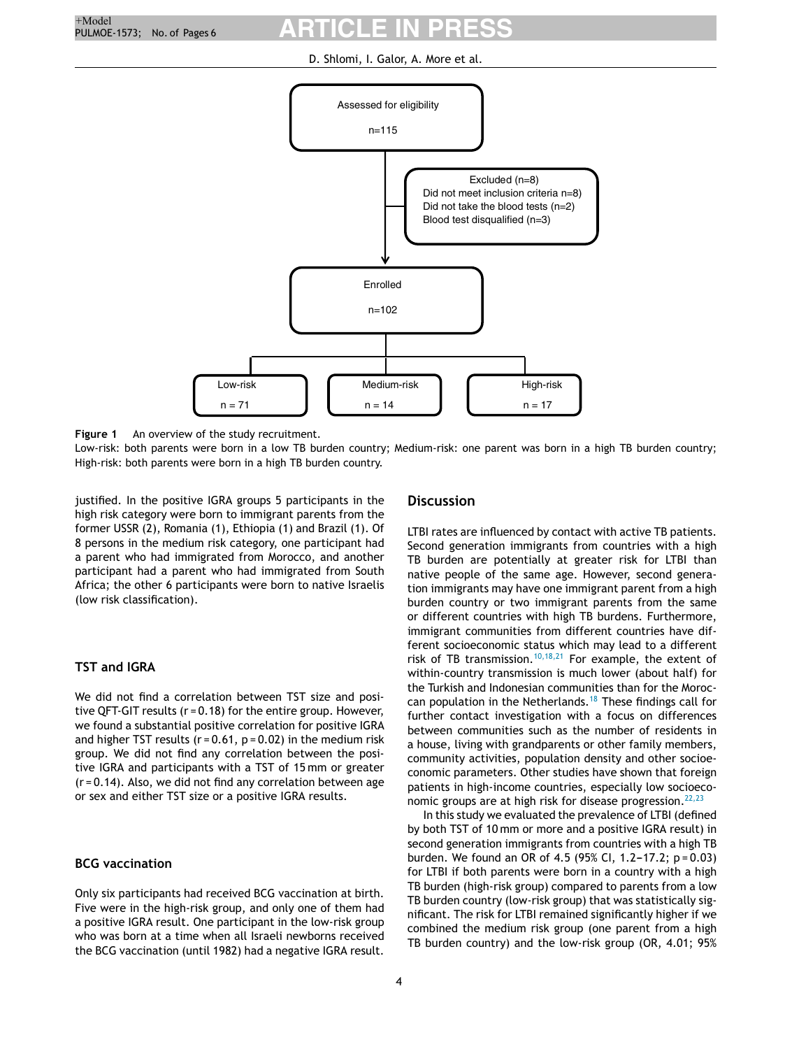D. Shlomi, I. Galor, A. More et al.

<span id="page-3-0"></span>

**Figure 1** An overview of the study recruitment.

Low-risk: both parents were born in a low TB burden country; Medium-risk: one parent was born in a high TB burden country; High-risk: both parents were born in a high TB burden country.

justified. In the positive IGRA groups 5 participants in the high risk category were born to immigrant parents from the former USSR (2), Romania (1), Ethiopia (1) and Brazil (1). Of 8 persons in the medium risk category, one participant had a parent who had immigrated from Morocco, and another participant had a parent who had immigrated from South Africa; the other 6 participants were born to native Israelis (low risk classification).

# **TST and IGRA**

We did not find a correlation between TST size and positive QFT-GIT results (r = 0.18) for the entire group. However, we found a substantial positive correlation for positive IGRA and higher TST results ( $r = 0.61$ ,  $p = 0.02$ ) in the medium risk group. We did not find any correlation between the positive IGRA and participants with a TST of 15 mm or greater (r = 0.14). Also, we did not find any correlation between age or sex and either TST size or a positive IGRA results.

# **BCG vaccination**

Only six participants had received BCG vaccination at birth. Five were in the high-risk group, and only one of them had a positive IGRA result. One participant in the low-risk group who was born at a time when all Israeli newborns received the BCG vaccination (until 1982) had a negative IGRA result.

### **Discussion**

LTBI rates are influenced by contact with active TB patients. Second generation immigrants from countries with a high TB burden are potentially at greater risk for LTBI than native people of the same age. However, second generation immigrants may have one immigrant parent from a high burden country or two immigrant parents from the same or different countries with high TB burdens. Furthermore, immigrant communities from different countries have different socioeconomic status which may lead to a different risk of TB transmission.<sup>[10,18,21](#page-5-0)</sup> For example, the extent of within-country transmission is much lower (about half) for the Turkish and Indonesian communities than for the Moroccan population in the Netherlands.[18](#page-5-0) These findings call for further contact investigation with a focus on differences between communities such as the number of residents in a house, living with grandparents or other family members, community activities, population density and other socioeconomic parameters. Other studies have shown that foreign patients in high-income countries, especially low socioeconomic groups are at high risk for disease progression.  $22,23$ 

In this study we evaluated the prevalence of LTBI (defined by both TST of 10 mm or more and a positive IGRA result) in second generation immigrants from countries with a high TB burden. We found an OR of 4.5 (95% CI, 1.2-17.2;  $p = 0.03$ ) for LTBI if both parents were born in a country with a high TB burden (high-risk group) compared to parents from a low TB burden country (low-risk group) that was statistically significant. The risk for LTBI remained significantly higher if we combined the medium risk group (one parent from a high TB burden country) and the low-risk group (OR, 4.01; 95%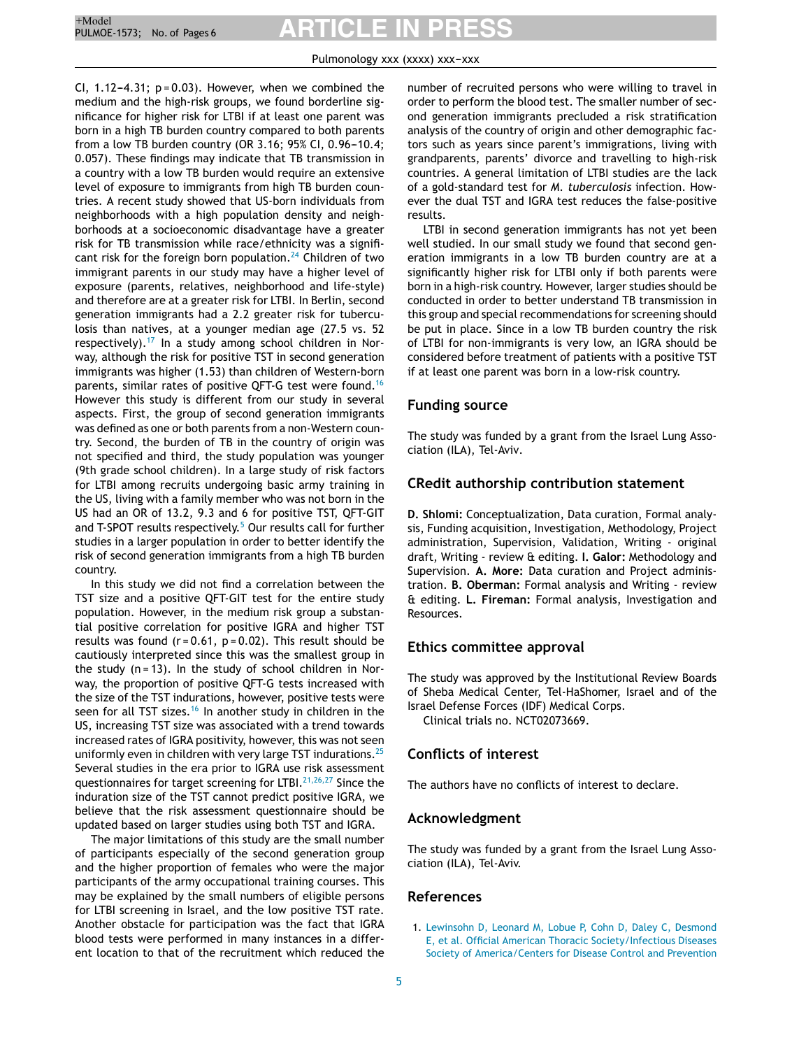#### Pulmonology xxx (xxxx) xxx-xxx

<span id="page-4-0"></span>CI, 1.12-4.31;  $p = 0.03$ ). However, when we combined the medium and the high-risk groups, we found borderline significance for higher risk for LTBI if at least one parent was born in a high TB burden country compared to both parents from a low TB burden country (OR 3.16; 95% CI,  $0.96-10.4$ ; 0.057). These findings may indicate that TB transmission in a country with a low TB burden would require an extensive level of exposure to immigrants from high TB burden countries. A recent study showed that US-born individuals from neighborhoods with a high population density and neighborhoods at a socioeconomic disadvantage have a greater risk for TB transmission while race/ethnicity was a signifi-cant risk for the foreign born population.<sup>[24](#page-5-0)</sup> Children of two immigrant parents in our study may have a higher level of exposure (parents, relatives, neighborhood and life-style) and therefore are at a greater risk for LTBI. In Berlin, second generation immigrants had a 2.2 greater risk for tuberculosis than natives, at a younger median age (27.5 vs. 52 respectively).<sup>[17](#page-5-0)</sup> In a study among school children in Norway, although the risk for positive TST in second generation immigrants was higher (1.53) than children of Western-born parents, similar rates of positive QFT-G test were found.<sup>[16](#page-5-0)</sup> However this study is different from our study in several aspects. First, the group of second generation immigrants was defined as one or both parents from a non-Western country. Second, the burden of TB in the country of origin was not specified and third, the study population was younger (9th grade school children). In a large study of risk factors for LTBI among recruits undergoing basic army training in the US, living with a family member who was not born in the US had an OR of 13.2, 9.3 and 6 for positive TST, QFT-GIT and T-SP[O](#page-5-0)T results respectively.<sup>5</sup> Our results call for further studies in a larger population in order to better identify the risk of second generation immigrants from a high TB burden country.

In this study we did not find a correlation between the TST size and a positive QFT-GIT test for the entire study population. However, in the medium risk group a substantial positive correlation for positive IGRA and higher TST results was found ( $r = 0.61$ ,  $p = 0.02$ ). This result should be cautiously interpreted since this was the smallest group in the study  $(n = 13)$ . In the study of school children in Norway, the proportion of positive QFT-G tests increased with the size of the TST indurations, however, positive tests were seen for all TST sizes.<sup>[16](#page-5-0)</sup> In another study in children in the US, increasing TST size was associated with a trend towards increased rates of IGRA positivity, however, this was not seen uniformly even in children with very large TST indurations. $^{25}$  $^{25}$  $^{25}$ Several studies in the era prior to IGRA use risk assessment questionnaires for target screening for LTBI.<sup>[21,26,27](#page-5-0)</sup> Since the induration size of the TST cannot predict positive IGRA, we believe that the risk assessment questionnaire should be updated based on larger studies using both TST and IGRA.

The major limitations of this study are the small number of participants especially of the second generation group and the higher proportion of females who were the major participants of the army occupational training courses. This may be explained by the small numbers of eligible persons for LTBI screening in Israel, and the low positive TST rate. Another obstacle for participation was the fact that IGRA blood tests were performed in many instances in a different location to that of the recruitment which reduced the

number of recruited persons who were willing to travel in order to perform the blood test. The smaller number of second generation immigrants precluded a risk stratification analysis of the country of origin and other demographic factors such as years since parent's immigrations, living with grandparents, parents' divorce and travelling to high-risk countries. A general limitation of LTBI studies are the lack of a gold-standard test for *M. tuberculosis* infection. However the dual TST and IGRA test reduces the false-positive results.

LTBI in second generation immigrants has not yet been well studied. In our small study we found that second generation immigrants in a low TB burden country are at a significantly higher risk for LTBI only if both parents were born in a high-risk country. However, larger studies should be conducted in order to better understand TB transmission in this group and special recommendations for screening should be put in place. Since in a low TB burden country the risk of LTBI for non-immigrants is very low, an IGRA should be considered before treatment of patients with a positive TST if at least one parent was born in a low-risk country.

# **Funding source**

The study was funded by a grant from the Israel Lung Association (ILA), Tel-Aviv.

# **CRedit authorship contribution statement**

**D. Shlomi:** Conceptualization, Data curation, Formal analysis, Funding acquisition, Investigation, Methodology, Project administration, Supervision, Validation, Writing - original draft, Writing - review & editing. **I. Galor:** Methodology and Supervision. **A. More:** Data curation and Project administration. **B. Oberman:** Formal analysis and Writing - review & editing. **L. Fireman:** Formal analysis, Investigation and Resources.

# **Ethics committee approval**

The study was approved by the Institutional Review Boards of Sheba Medical Center, Tel-HaShomer, Israel and of the Israel Defense Forces (IDF) Medical Corps.

Clinical trials no. NCT02073669.

#### **Conflicts of interest**

The authors have no conflicts of interest to declare.

#### **Acknowledgment**

The study was funded by a grant from the Israel Lung Association (ILA), Tel-Aviv.

# **References**

1. [Lewinsohn](http://refhub.elsevier.com/S2531-0437(20)30261-0/sbref0005) [D,](http://refhub.elsevier.com/S2531-0437(20)30261-0/sbref0005) [Leonard](http://refhub.elsevier.com/S2531-0437(20)30261-0/sbref0005) [M,](http://refhub.elsevier.com/S2531-0437(20)30261-0/sbref0005) [Lobue](http://refhub.elsevier.com/S2531-0437(20)30261-0/sbref0005) [P,](http://refhub.elsevier.com/S2531-0437(20)30261-0/sbref0005) [Cohn](http://refhub.elsevier.com/S2531-0437(20)30261-0/sbref0005) [D,](http://refhub.elsevier.com/S2531-0437(20)30261-0/sbref0005) [Daley](http://refhub.elsevier.com/S2531-0437(20)30261-0/sbref0005) [C,](http://refhub.elsevier.com/S2531-0437(20)30261-0/sbref0005) [Desmond](http://refhub.elsevier.com/S2531-0437(20)30261-0/sbref0005) [E,](http://refhub.elsevier.com/S2531-0437(20)30261-0/sbref0005) [et](http://refhub.elsevier.com/S2531-0437(20)30261-0/sbref0005) [al.](http://refhub.elsevier.com/S2531-0437(20)30261-0/sbref0005) [Official](http://refhub.elsevier.com/S2531-0437(20)30261-0/sbref0005) [American](http://refhub.elsevier.com/S2531-0437(20)30261-0/sbref0005) [Thoracic](http://refhub.elsevier.com/S2531-0437(20)30261-0/sbref0005) [Society/Infectious](http://refhub.elsevier.com/S2531-0437(20)30261-0/sbref0005) [Diseases](http://refhub.elsevier.com/S2531-0437(20)30261-0/sbref0005) [Society](http://refhub.elsevier.com/S2531-0437(20)30261-0/sbref0005) [of](http://refhub.elsevier.com/S2531-0437(20)30261-0/sbref0005) [America/Centers](http://refhub.elsevier.com/S2531-0437(20)30261-0/sbref0005) [for](http://refhub.elsevier.com/S2531-0437(20)30261-0/sbref0005) [Disease](http://refhub.elsevier.com/S2531-0437(20)30261-0/sbref0005) [Control](http://refhub.elsevier.com/S2531-0437(20)30261-0/sbref0005) [and](http://refhub.elsevier.com/S2531-0437(20)30261-0/sbref0005) [Prevention](http://refhub.elsevier.com/S2531-0437(20)30261-0/sbref0005)